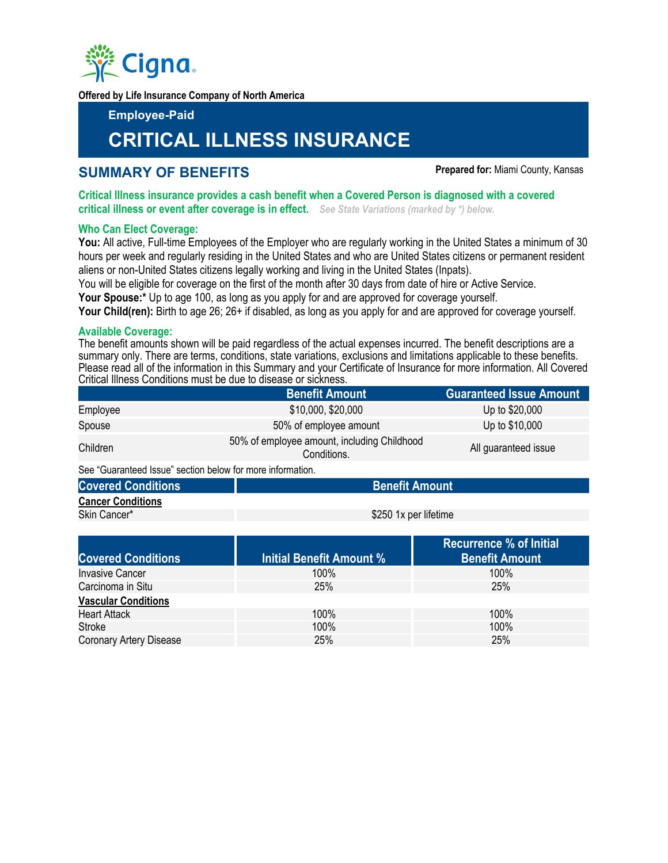

**Offered by Life Insurance Company of North America** 

**Employee-Paid** 

# **CRITICAL ILLNESS INSURANCE**

# **SUMMARY OF BENEFITS Prepared for: Miami County, Kansas**

**Critical Illness insurance provides a cash benefit when a Covered Person is diagnosed with a covered critical illness or event after coverage is in effect.** *See State Variations (marked by \*) below.*

# **Who Can Elect Coverage:**

**You:** All active, Full-time Employees of the Employer who are regularly working in the United States a minimum of 30 hours per week and regularly residing in the United States and who are United States citizens or permanent resident aliens or non-United States citizens legally working and living in the United States (Inpats).

You will be eligible for coverage on the first of the month after 30 days from date of hire or Active Service.

**Your Spouse:\*** Up to age 100, as long as you apply for and are approved for coverage yourself.

**Your Child(ren):** Birth to age 26; 26+ if disabled, as long as you apply for and are approved for coverage yourself.

# **Available Coverage:**

The benefit amounts shown will be paid regardless of the actual expenses incurred. The benefit descriptions are a summary only. There are terms, conditions, state variations, exclusions and limitations applicable to these benefits. Please read all of the information in this Summary and your Certificate of Insurance for more information. All Covered Critical Illness Conditions must be due to disease or sickness.

|                                                            | <b>Benefit Amount</b>                                      | <b>Guaranteed Issue Amount</b> |  |  |
|------------------------------------------------------------|------------------------------------------------------------|--------------------------------|--|--|
| Employee                                                   | \$10,000, \$20,000                                         | Up to \$20,000                 |  |  |
| Spouse                                                     | 50% of employee amount                                     | Up to \$10,000                 |  |  |
| Children                                                   | 50% of employee amount, including Childhood<br>Conditions. | All guaranteed issue           |  |  |
| See "Guaranteed Issue" section below for more information. |                                                            |                                |  |  |

# **Covered Conditions Coverse Amount Amount Amount Amount Amount Amount Amount Amount Cancer Conditions**

Skin Cancer\* **\$250 1x per lifetime** 

|                            |                          | <b>Recurrence % of Initial</b> |
|----------------------------|--------------------------|--------------------------------|
| <b>Covered Conditions</b>  | Initial Benefit Amount % | <b>Benefit Amount</b>          |
| <b>Invasive Cancer</b>     | $100\%$                  | $100\%$                        |
| Carcinoma in Situ          | 25%                      | 25%                            |
| <b>Vascular Conditions</b> |                          |                                |
| <b>Heart Attack</b>        | 100%                     | $100\%$                        |
| <b>Stroke</b>              | 100%                     | 100%                           |
| Coronary Artery Disease    | 25%                      | 25%                            |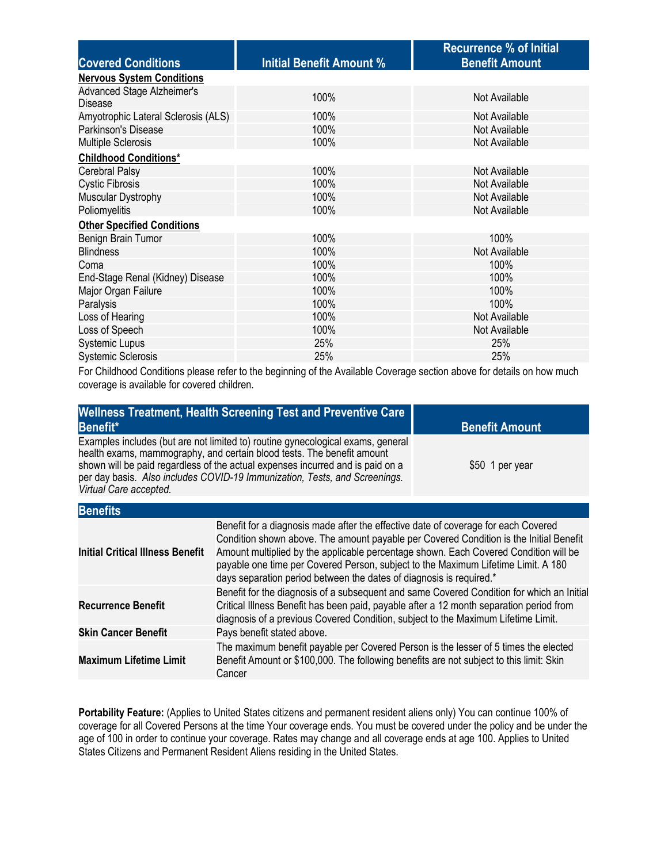|                                       |                                 | <b>Recurrence % of Initial</b> |  |  |  |
|---------------------------------------|---------------------------------|--------------------------------|--|--|--|
| <b>Covered Conditions</b>             | <b>Initial Benefit Amount %</b> | <b>Benefit Amount</b>          |  |  |  |
| <b>Nervous System Conditions</b>      |                                 |                                |  |  |  |
| Advanced Stage Alzheimer's<br>Disease | 100%                            | Not Available                  |  |  |  |
| Amyotrophic Lateral Sclerosis (ALS)   | 100%                            | Not Available                  |  |  |  |
| Parkinson's Disease                   | 100%                            | Not Available                  |  |  |  |
| <b>Multiple Sclerosis</b>             | 100%                            | Not Available                  |  |  |  |
| <b>Childhood Conditions*</b>          |                                 |                                |  |  |  |
| <b>Cerebral Palsy</b>                 | 100%                            | Not Available                  |  |  |  |
| <b>Cystic Fibrosis</b>                | 100%                            | Not Available                  |  |  |  |
| Muscular Dystrophy                    | 100%                            | Not Available                  |  |  |  |
| Poliomyelitis                         | 100%                            | Not Available                  |  |  |  |
| <b>Other Specified Conditions</b>     |                                 |                                |  |  |  |
| Benign Brain Tumor                    | 100%                            | 100%                           |  |  |  |
| <b>Blindness</b>                      | 100%                            | Not Available                  |  |  |  |
| Coma                                  | 100%                            | 100%                           |  |  |  |
| End-Stage Renal (Kidney) Disease      | 100%                            | 100%                           |  |  |  |
| Major Organ Failure                   | 100%                            | 100%                           |  |  |  |
| Paralysis                             | 100%                            | 100%                           |  |  |  |
| Loss of Hearing                       | 100%                            | Not Available                  |  |  |  |
| Loss of Speech                        | 100%                            | Not Available                  |  |  |  |
| <b>Systemic Lupus</b>                 | 25%                             | 25%                            |  |  |  |
| <b>Systemic Sclerosis</b>             | 25%                             | 25%                            |  |  |  |

For Childhood Conditions please refer to the beginning of the Available Coverage section above for details on how much coverage is available for covered children.

| Benefit*                                                                                                                                                                                                                                                                                                                                            | <b>Wellness Treatment, Health Screening Test and Preventive Care</b>                                                                                                                                                                                                                                                                                                                                                             | <b>Benefit Amount</b> |  |
|-----------------------------------------------------------------------------------------------------------------------------------------------------------------------------------------------------------------------------------------------------------------------------------------------------------------------------------------------------|----------------------------------------------------------------------------------------------------------------------------------------------------------------------------------------------------------------------------------------------------------------------------------------------------------------------------------------------------------------------------------------------------------------------------------|-----------------------|--|
| Examples includes (but are not limited to) routine gynecological exams, general<br>health exams, mammography, and certain blood tests. The benefit amount<br>shown will be paid regardless of the actual expenses incurred and is paid on a<br>per day basis. Also includes COVID-19 Immunization, Tests, and Screenings.<br>Virtual Care accepted. |                                                                                                                                                                                                                                                                                                                                                                                                                                  | \$50 1 per year       |  |
| <b>Benefits</b>                                                                                                                                                                                                                                                                                                                                     |                                                                                                                                                                                                                                                                                                                                                                                                                                  |                       |  |
| <b>Initial Critical Illness Benefit</b>                                                                                                                                                                                                                                                                                                             | Benefit for a diagnosis made after the effective date of coverage for each Covered<br>Condition shown above. The amount payable per Covered Condition is the Initial Benefit<br>Amount multiplied by the applicable percentage shown. Each Covered Condition will be<br>payable one time per Covered Person, subject to the Maximum Lifetime Limit. A 180<br>days separation period between the dates of diagnosis is required.* |                       |  |
| <b>Recurrence Benefit</b>                                                                                                                                                                                                                                                                                                                           | Benefit for the diagnosis of a subsequent and same Covered Condition for which an Initial<br>Critical Illness Benefit has been paid, payable after a 12 month separation period from<br>diagnosis of a previous Covered Condition, subject to the Maximum Lifetime Limit.                                                                                                                                                        |                       |  |
| <b>Skin Cancer Benefit</b>                                                                                                                                                                                                                                                                                                                          | Pays benefit stated above.                                                                                                                                                                                                                                                                                                                                                                                                       |                       |  |
| <b>Maximum Lifetime Limit</b>                                                                                                                                                                                                                                                                                                                       | The maximum benefit payable per Covered Person is the lesser of 5 times the elected<br>Benefit Amount or \$100,000. The following benefits are not subject to this limit: Skin<br>Cancer                                                                                                                                                                                                                                         |                       |  |

**Portability Feature:** (Applies to United States citizens and permanent resident aliens only) You can continue 100% of coverage for all Covered Persons at the time Your coverage ends. You must be covered under the policy and be under the age of 100 in order to continue your coverage. Rates may change and all coverage ends at age 100. Applies to United States Citizens and Permanent Resident Aliens residing in the United States.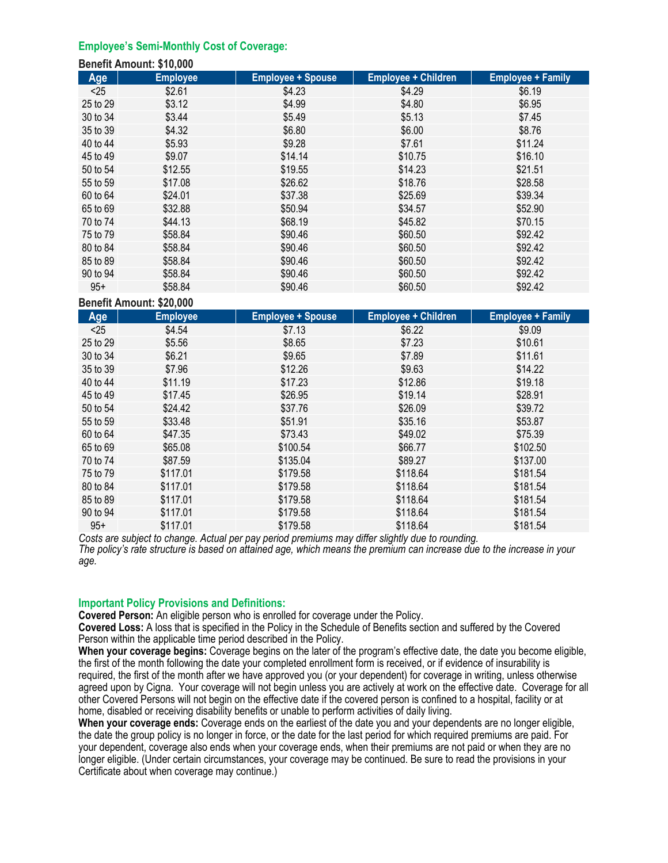# **Employee's Semi-Monthly Cost of Coverage:**

**Benefit Amount: \$10,000** 

| <b>Benefit Amount: \$10,000</b> |                 |                          |                            |                          |
|---------------------------------|-----------------|--------------------------|----------------------------|--------------------------|
| Age                             | <b>Employee</b> | <b>Employee + Spouse</b> | <b>Employee + Children</b> | <b>Employee + Family</b> |
| < 25                            | \$2.61          | \$4.23                   | \$4.29                     | \$6.19                   |
| 25 to 29                        | \$3.12          | \$4.99                   | \$4.80                     | \$6.95                   |
| 30 to 34                        | \$3.44          | \$5.49                   | \$5.13                     | \$7.45                   |
| 35 to 39                        | \$4.32          | \$6.80                   | \$6.00                     | \$8.76                   |
| 40 to 44                        | \$5.93          | \$9.28                   | \$7.61                     | \$11.24                  |
| 45 to 49                        | \$9.07          | \$14.14                  | \$10.75                    | \$16.10                  |
| 50 to 54                        | \$12.55         | \$19.55                  | \$14.23                    | \$21.51                  |
| 55 to 59                        | \$17.08         | \$26.62                  | \$18.76                    | \$28.58                  |
| 60 to 64                        | \$24.01         | \$37.38                  | \$25.69                    | \$39.34                  |
| 65 to 69                        | \$32.88         | \$50.94                  | \$34.57                    | \$52.90                  |
| 70 to 74                        | \$44.13         | \$68.19                  | \$45.82                    | \$70.15                  |
| 75 to 79                        | \$58.84         | \$90.46                  | \$60.50                    | \$92.42                  |
| 80 to 84                        | \$58.84         | \$90.46                  | \$60.50                    | \$92.42                  |
| 85 to 89                        | \$58.84         | \$90.46                  | \$60.50                    | \$92.42                  |
| 90 to 94                        | \$58.84         | \$90.46                  | \$60.50                    | \$92.42                  |
| $95+$                           | \$58.84         | \$90.46                  | \$60.50                    | \$92.42                  |

**Benefit Amount: \$20,000** 

| Age      | <b>Employee</b> | <b>Employee + Spouse</b> | <b>Employee + Children</b> | <b>Employee + Family</b> |
|----------|-----------------|--------------------------|----------------------------|--------------------------|
| < 25     | \$4.54          | \$7.13                   | \$6.22                     | \$9.09                   |
| 25 to 29 | \$5.56          | \$8.65                   | \$7.23                     | \$10.61                  |
| 30 to 34 | \$6.21          | \$9.65                   | \$7.89                     | \$11.61                  |
| 35 to 39 | \$7.96          | \$12.26                  | \$9.63                     | \$14.22                  |
| 40 to 44 | \$11.19         | \$17.23                  | \$12.86                    | \$19.18                  |
| 45 to 49 | \$17.45         | \$26.95                  | \$19.14                    | \$28.91                  |
| 50 to 54 | \$24.42         | \$37.76                  | \$26.09                    | \$39.72                  |
| 55 to 59 | \$33.48         | \$51.91                  | \$35.16                    | \$53.87                  |
| 60 to 64 | \$47.35         | \$73.43                  | \$49.02                    | \$75.39                  |
| 65 to 69 | \$65.08         | \$100.54                 | \$66.77                    | \$102.50                 |
| 70 to 74 | \$87.59         | \$135.04                 | \$89.27                    | \$137.00                 |
| 75 to 79 | \$117.01        | \$179.58                 | \$118.64                   | \$181.54                 |
| 80 to 84 | \$117.01        | \$179.58                 | \$118.64                   | \$181.54                 |
| 85 to 89 | \$117.01        | \$179.58                 | \$118.64                   | \$181.54                 |
| 90 to 94 | \$117.01        | \$179.58                 | \$118.64                   | \$181.54                 |
| $95+$    | \$117.01        | \$179.58                 | \$118.64                   | \$181.54                 |

Costs are subject to change. Actual per pay period premiums may differ slightly due to rounding.<br>The policy's rate structure is based on attained age, which means the premium can increase due to the increase in your *age.* 

#### **Important Policy Provisions and Definitions:**

**Covered Person:** An eligible person who is enrolled for coverage under the Policy.

**Covered Loss:** A loss that is specified in the Policy in the Schedule of Benefits section and suffered by the Covered Person within the applicable time period described in the Policy.

**When your coverage begins:** Coverage begins on the later of the program's effective date, the date you become eligible, the first of the month following the date your completed enrollment form is received, or if evidence of insurability is required, the first of the month after we have approved you (or your dependent) for coverage in writing, unless otherwise agreed upon by Cigna. Your coverage will not begin unless you are actively at work on the effective date. Coverage for all other Covered Persons will not begin on the effective date if the covered person is confined to a hospital, facility or at home, disabled or receiving disability benefits or unable to perform activities of daily living.

**When your coverage ends:** Coverage ends on the earliest of the date you and your dependents are no longer eligible, the date the group policy is no longer in force, or the date for the last period for which required premiums are paid. For your dependent, coverage also ends when your coverage ends, when their premiums are not paid or when they are no longer eligible. (Under certain circumstances, your coverage may be continued. Be sure to read the provisions in your Certificate about when coverage may continue.)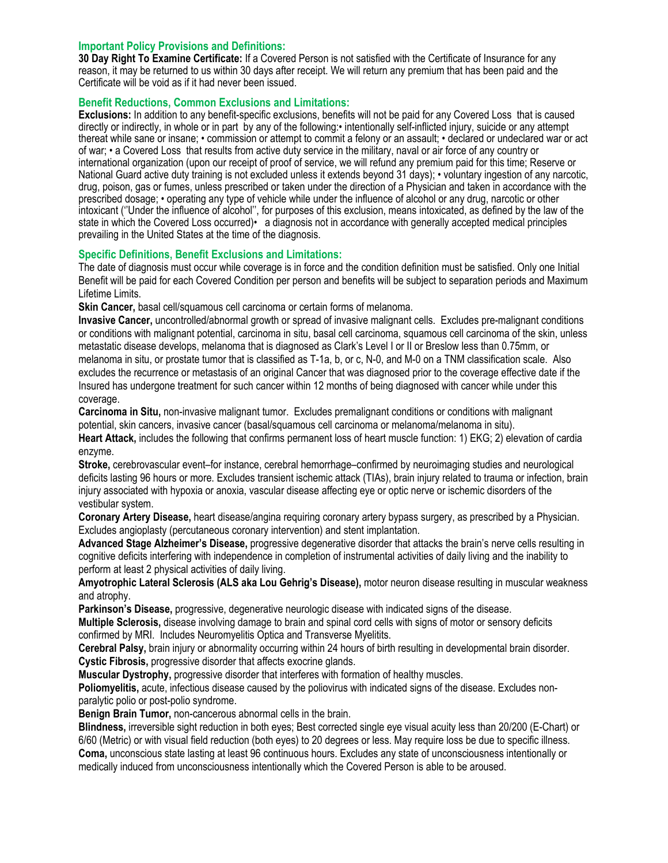#### **Important Policy Provisions and Definitions:**

**30 Day Right To Examine Certificate:** If a Covered Person is not satisfied with the Certificate of Insurance for any reason, it may be returned to us within 30 days after receipt. We will return any premium that has been paid and the Certificate will be void as if it had never been issued.

# **Benefit Reductions, Common Exclusions and Limitations:**

**Exclusions:** In addition to any benefit-specific exclusions, benefits will not be paid for any Covered Loss that is caused directly or indirectly, in whole or in part by any of the following:• intentionally self-inflicted injury, suicide or any attempt thereat while sane or insane; • commission or attempt to commit a felony or an assault; • declared or undeclared war or act of war; • a Covered Loss that results from active duty service in the military, naval or air force of any country or international organization (upon our receipt of proof of service, we will refund any premium paid for this time; Reserve or National Guard active duty training is not excluded unless it extends beyond 31 days); • voluntary ingestion of any narcotic, drug, poison, gas or fumes, unless prescribed or taken under the direction of a Physician and taken in accordance with the prescribed dosage; • operating any type of vehicle while under the influence of alcohol or any drug, narcotic or other intoxicant (''Under the influence of alcohol'', for purposes of this exclusion, means intoxicated, as defined by the law of the state in which the Covered Loss occurred)• a diagnosis not in accordance with generally accepted medical principles prevailing in the United States at the time of the diagnosis.

# **Specific Definitions, Benefit Exclusions and Limitations:**

The date of diagnosis must occur while coverage is in force and the condition definition must be satisfied. Only one Initial Benefit will be paid for each Covered Condition per person and benefits will be subject to separation periods and Maximum Lifetime Limits.

**Skin Cancer,** basal cell/squamous cell carcinoma or certain forms of melanoma.

**Invasive Cancer,** uncontrolled/abnormal growth or spread of invasive malignant cells. Excludes pre-malignant conditions or conditions with malignant potential, carcinoma in situ, basal cell carcinoma, squamous cell carcinoma of the skin, unless metastatic disease develops, melanoma that is diagnosed as Clark's Level I or II or Breslow less than 0.75mm, or melanoma in situ, or prostate tumor that is classified as T-1a, b, or c, N-0, and M-0 on a TNM classification scale. Also excludes the recurrence or metastasis of an original Cancer that was diagnosed prior to the coverage effective date if the Insured has undergone treatment for such cancer within 12 months of being diagnosed with cancer while under this coverage.

**Carcinoma in Situ,** non-invasive malignant tumor. Excludes premalignant conditions or conditions with malignant potential, skin cancers, invasive cancer (basal/squamous cell carcinoma or melanoma/melanoma in situ).

**Heart Attack,** includes the following that confirms permanent loss of heart muscle function: 1) EKG; 2) elevation of cardia enzyme.

**Stroke,** cerebrovascular event–for instance, cerebral hemorrhage–confirmed by neuroimaging studies and neurological deficits lasting 96 hours or more. Excludes transient ischemic attack (TIAs), brain injury related to trauma or infection, brain injury associated with hypoxia or anoxia, vascular disease affecting eye or optic nerve or ischemic disorders of the vestibular system.

**Coronary Artery Disease,** heart disease/angina requiring coronary artery bypass surgery, as prescribed by a Physician. Excludes angioplasty (percutaneous coronary intervention) and stent implantation.

**Advanced Stage Alzheimer's Disease,** progressive degenerative disorder that attacks the brain's nerve cells resulting in cognitive deficits interfering with independence in completion of instrumental activities of daily living and the inability to perform at least 2 physical activities of daily living.

**Amyotrophic Lateral Sclerosis (ALS aka Lou Gehrig's Disease),** motor neuron disease resulting in muscular weakness and atrophy.

**Parkinson's Disease,** progressive, degenerative neurologic disease with indicated signs of the disease.

**Multiple Sclerosis,** disease involving damage to brain and spinal cord cells with signs of motor or sensory deficits confirmed by MRI. Includes Neuromyelitis Optica and Transverse Myelitits.

**Cerebral Palsy,** brain injury or abnormality occurring within 24 hours of birth resulting in developmental brain disorder. **Cystic Fibrosis,** progressive disorder that affects exocrine glands.

**Muscular Dystrophy,** progressive disorder that interferes with formation of healthy muscles.

**Poliomyelitis,** acute, infectious disease caused by the poliovirus with indicated signs of the disease. Excludes nonparalytic polio or post-polio syndrome.

**Benign Brain Tumor,** non-cancerous abnormal cells in the brain.

**Blindness,** irreversible sight reduction in both eyes; Best corrected single eye visual acuity less than 20/200 (E-Chart) or 6/60 (Metric) or with visual field reduction (both eyes) to 20 degrees or less. May require loss be due to specific illness. **Coma,** unconscious state lasting at least 96 continuous hours. Excludes any state of unconsciousness intentionally or medically induced from unconsciousness intentionally which the Covered Person is able to be aroused.